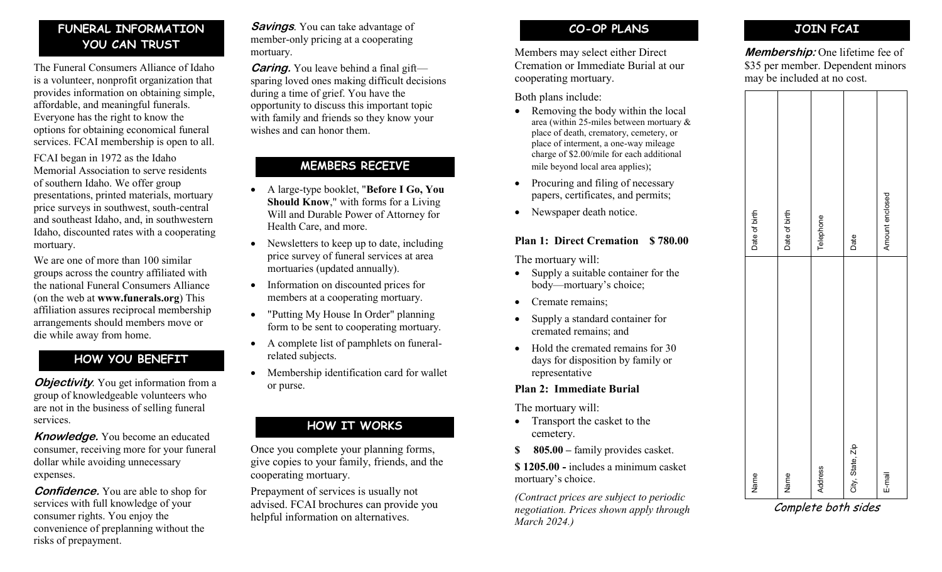## **FUNERAL INFORMATION YOU CAN TRUST**

The Funeral Consumers Alliance of Idaho is a volunteer, nonprofit organization that provides information on obtaining simple, affordable, and meaningful funerals. Everyone has the right to know the options for obtaining economical funeral services. FCAI membership is open to all.

FCAI began in 1972 as the Idaho Memorial Association to serve residents of southern Idaho. We offer group presentations, printed materials, mortuary price surveys in southwest, south-central and southeast Idaho, and, in southwestern Idaho, discounted rates with a cooperating mortuary.

We are one of more than 100 similar groups across the country affiliated with the national Funeral Consumers Alliance (on the web at **www.funerals.org**) This affiliation assures reciprocal membership arrangements should members move or die while away from home.

## **HOW YOU BENEFIT**

*Objectivity*. You get information from a group of knowledgeable volunteers who are not in the business of selling funeral services.

*Knowledge.* You become an educated consumer, receiving more for your funeral dollar while avoiding unnecessary expenses.

*Confidence.* You are able to shop for services with full knowledge of your consumer rights. You enjoy the convenience of preplanning without the risks of prepayment.

**Savings**. You can take advantage of member-only pricing at a cooperating mortuary.

**Caring.** You leave behind a final gift sparing loved ones making difficult decisions during a time of grief. You have the opportunity to discuss this important topic with family and friends so they know your wishes and can honor them.

## **MEMBERS RECEIVE**

- A large-type booklet, "**Before I Go, You Should Know**," with forms for a Living Will and Durable Power of Attorney for Health Care, and more.
- Newsletters to keep up to date, including price survey of funeral services at area mortuaries (updated annually).
- Information on discounted prices for members at a cooperating mortuary.
- "Putting My House In Order" planning form to be sent to cooperating mortuary.
- A complete list of pamphlets on funeralrelated subjects.
- Membership identification card for wallet or purse.

#### **HOW IT WORKS**

Once you complete your planning forms, give copies to your family, friends, and the cooperating mortuary.

Prepayment of services is usually not advised. FCAI brochures can provide you helpful information on alternatives.

## **CO-OP PLANS**

Members may select either Direct Cremation or Immediate Burial at our cooperating mortuary.

#### Both plans include:

- Removing the body within the local area (within 25-miles between mortuary & place of death, crematory, cemetery, or place of interment, a one-way mileage charge of \$2.00/mile for each additional mile beyond local area applies);
- Procuring and filing of necessary papers, certificates, and permits;
- Newspaper death notice.

#### **Plan 1: Direct Cremation \$ 780.00**

The mortuary will:

- Supply a suitable container for the body—mortuary's choice;
- Cremate remains:
- Supply a standard container for cremated remains; and
- Hold the cremated remains for 30 days for disposition by family or representative

#### **Plan 2: Immediate Burial**

The mortuary will:

- Transport the casket to the cemetery.
- **\$ 805.00 –** family provides casket.

**\$ 1205.00 -** includes a minimum casket mortuary's choice.

*(Contract prices are subject to periodic negotiation. Prices shown apply through March 2024.)*

**JOIN FCAI**

**Membership:** One lifetime fee of \$35 per member. Dependent minors may be included at no cost.

Complete both sides